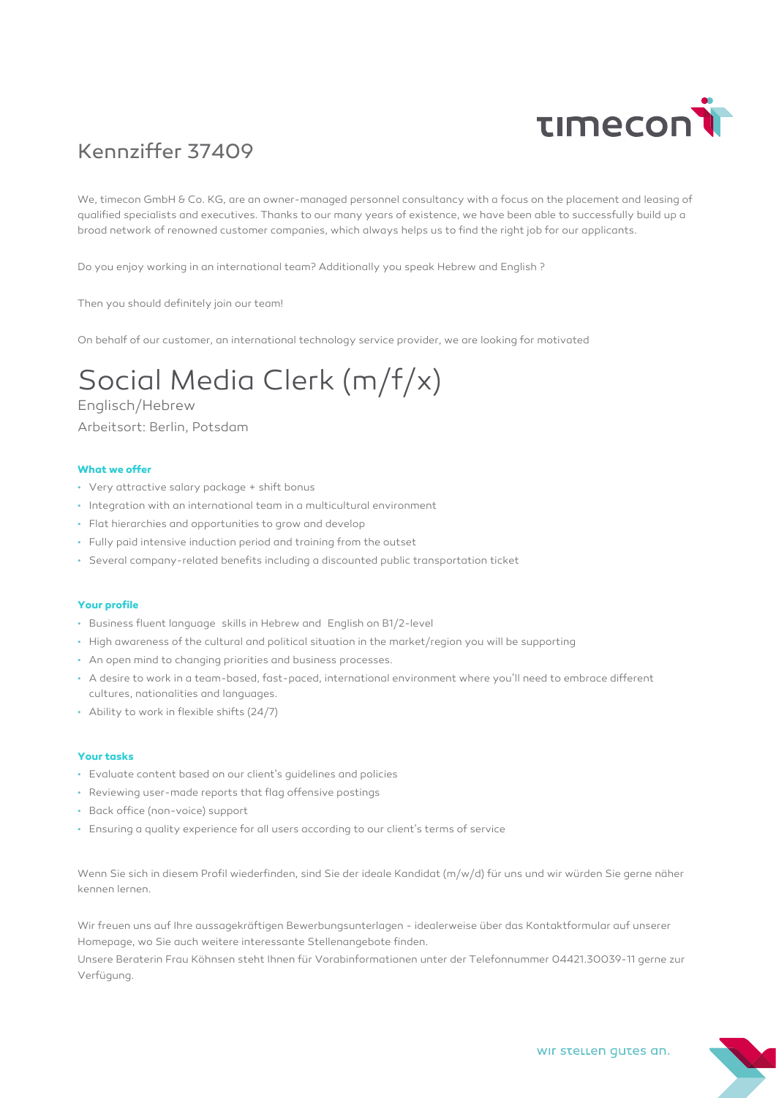

## Kennziffer 37409

We, timecon GmbH & Co. KG, are an owner-managed personnel consultancy with a focus on the placement and leasing of qualified specialists and executives. Thanks to our many years of existence, we have been able to successfully build up a broad network of renowned customer companies, which always helps us to find the right job for our applicants.

Do you enjoy working in an international team? Additionally you speak Hebrew and English ?

Then you should definitely join our team!

On behalf of our customer, an international technology service provider, we are looking for motivated

# Social Media Clerk (m/f/x)

Englisch/Hebrew Arbeitsort: Berlin, Potsdam

#### **What we offer**

- Very attractive salary package + shift bonus
- Integration with an international team in a multicultural environment
- Flat hierarchies and opportunities to grow and develop
- Fully paid intensive induction period and training from the outset
- Several company-related benefits including a discounted public transportation ticket

#### **Your profile**

- Business fluent language skills in Hebrew and English on B1/2-level
- High awareness of the cultural and political situation in the market/region you will be supporting
- An open mind to changing priorities and business processes.
- A desire to work in a team-based, fast-paced, international environment where you'll need to embrace different cultures, nationalities and languages.
- Ability to work in flexible shifts (24/7)

#### **Your tasks**

- Evaluate content based on our client's guidelines and policies
- Reviewing user-made reports that flag offensive postings
- Back office (non-voice) support
- Ensuring a quality experience for all users according to our client's terms of service

Wenn Sie sich in diesem Profil wiederfinden, sind Sie der ideale Kandidat (m/w/d) für uns und wir würden Sie gerne näher kennen lernen.

Wir freuen uns auf Ihre aussagekräftigen Bewerbungsunterlagen - idealerweise über das Kontaktformular auf unserer Homepage, wo Sie auch weitere interessante Stellenangebote finden.

Unsere Beraterin Frau Köhnsen steht Ihnen für Vorabinformationen unter der Telefonnummer 04421.30039-11 gerne zur Verfügung.